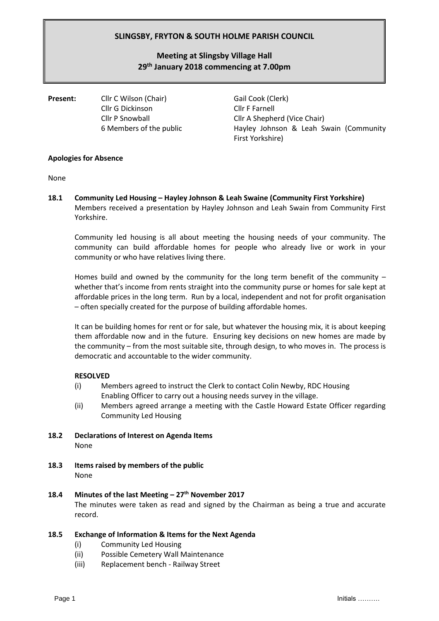## **SLINGSBY, FRYTON & SOUTH HOLME PARISH COUNCIL**

# **Meeting at Slingsby Village Hall 29 th January 2018 commencing at 7.00pm**

**Present:** Cllr C Wilson (Chair) Gail Cook (Clerk) Cllr G Dickinson Cllr F Farnell

Cllr P Snowball Cllr A Shepherd (Vice Chair) 6 Members of the public Hayley Johnson & Leah Swain (Community First Yorkshire)

## **Apologies for Absence**

None

**18.1 Community Led Housing – Hayley Johnson & Leah Swaine (Community First Yorkshire)** Members received a presentation by Hayley Johnson and Leah Swain from Community First Yorkshire.

Community led housing is all about meeting the housing needs of your community. The community can build affordable homes for people who already live or work in your community or who have relatives living there.

Homes build and owned by the community for the long term benefit of the community  $$ whether that's income from rents straight into the community purse or homes for sale kept at affordable prices in the long term. Run by a local, independent and not for profit organisation – often specially created for the purpose of building affordable homes.

It can be building homes for rent or for sale, but whatever the housing mix, it is about keeping them affordable now and in the future. Ensuring key decisions on new homes are made by the community – from the most suitable site, through design, to who moves in. The process is democratic and accountable to the wider community.

## **RESOLVED**

- (i) Members agreed to instruct the Clerk to contact Colin Newby, RDC Housing Enabling Officer to carry out a housing needs survey in the village.
- (ii) Members agreed arrange a meeting with the Castle Howard Estate Officer regarding Community Led Housing
- **18.2 Declarations of Interest on Agenda Items**  None
- **18.3 Items raised by members of the public** None

## **18.4 Minutes of the last Meeting – 27th November 2017** The minutes were taken as read and signed by the Chairman as being a true and accurate record.

## **18.5 Exchange of Information & Items for the Next Agenda**

- (i) Community Led Housing
- (ii) Possible Cemetery Wall Maintenance
- (iii) Replacement bench Railway Street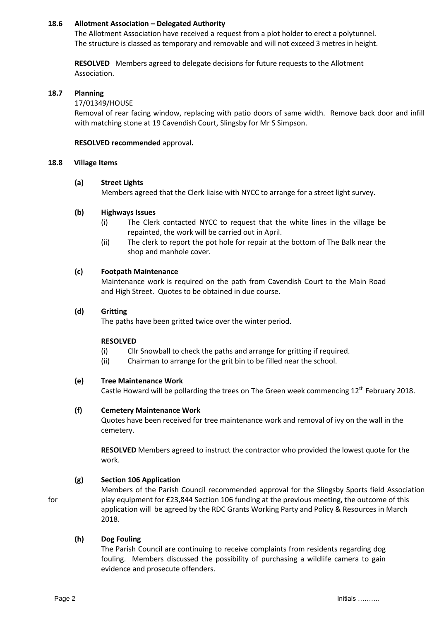## **18.6 Allotment Association – Delegated Authority**

The Allotment Association have received a request from a plot holder to erect a polytunnel. The structure is classed as temporary and removable and will not exceed 3 metres in height.

**RESOLVED** Members agreed to delegate decisions for future requests to the Allotment Association.

#### **18.7 Planning**

#### 17/01349/HOUSE

Removal of rear facing window, replacing with patio doors of same width. Remove back door and infill with matching stone at 19 Cavendish Court, Slingsby for Mr S Simpson.

#### **RESOLVED recommended** approval**.**

#### **18.8 Village Items**

#### **(a) Street Lights**

Members agreed that the Clerk liaise with NYCC to arrange for a street light survey.

#### **(b) Highways Issues**

- (i) The Clerk contacted NYCC to request that the white lines in the village be repainted, the work will be carried out in April.
- (ii) The clerk to report the pot hole for repair at the bottom of The Balk near the shop and manhole cover.

#### **(c) Footpath Maintenance**

Maintenance work is required on the path from Cavendish Court to the Main Road and High Street. Quotes to be obtained in due course.

#### **(d) Gritting**

The paths have been gritted twice over the winter period.

## **RESOLVED**

- (i) Cllr Snowball to check the paths and arrange for gritting if required.
- (ii) Chairman to arrange for the grit bin to be filled near the school.

## **(e) Tree Maintenance Work**

Castle Howard will be pollarding the trees on The Green week commencing  $12<sup>th</sup>$  February 2018.

## **(f) Cemetery Maintenance Work**

Quotes have been received for tree maintenance work and removal of ivy on the wall in the cemetery.

**RESOLVED** Members agreed to instruct the contractor who provided the lowest quote for the work.

## **(g) Section 106 Application**

Members of the Parish Council recommended approval for the Slingsby Sports field Association for play equipment for £23,844 Section 106 funding at the previous meeting, the outcome of this application will be agreed by the RDC Grants Working Party and Policy & Resources in March 2018.

## **(h) Dog Fouling**

The Parish Council are continuing to receive complaints from residents regarding dog fouling. Members discussed the possibility of purchasing a wildlife camera to gain evidence and prosecute offenders.